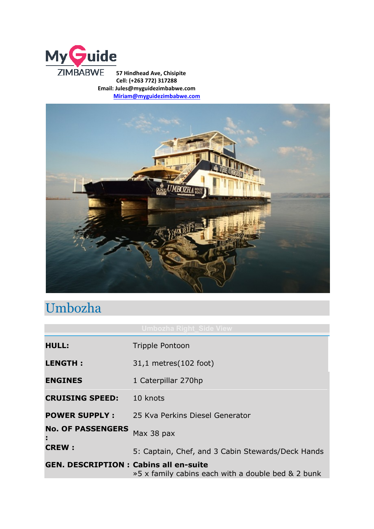

**57 Hindhead Ave, Chisipite Cell: (+263 772) 317288 Email: Jules@myguidezimbabwe.com [Miriam@myguidezimbabwe.com](mailto:Miriam@myguidezimbabwe.com)**



## Umbozha

| <b>HULL:</b>                                 | <b>Tripple Pontoon</b>                             |
|----------------------------------------------|----------------------------------------------------|
| <b>LENGTH:</b>                               | 31,1 metres (102 foot)                             |
| <b>ENGINES</b>                               | 1 Caterpillar 270hp                                |
| <b>CRUISING SPEED:</b>                       | 10 knots                                           |
| <b>POWER SUPPLY:</b>                         | 25 Kva Perkins Diesel Generator                    |
| <b>No. OF PASSENGERS</b><br>÷.               | Max 38 pax                                         |
| <b>CREW:</b>                                 | 5: Captain, Chef, and 3 Cabin Stewards/Deck Hands  |
| <b>GEN. DESCRIPTION: Cabins all en-suite</b> | »5 x family cabins each with a double bed & 2 bunk |